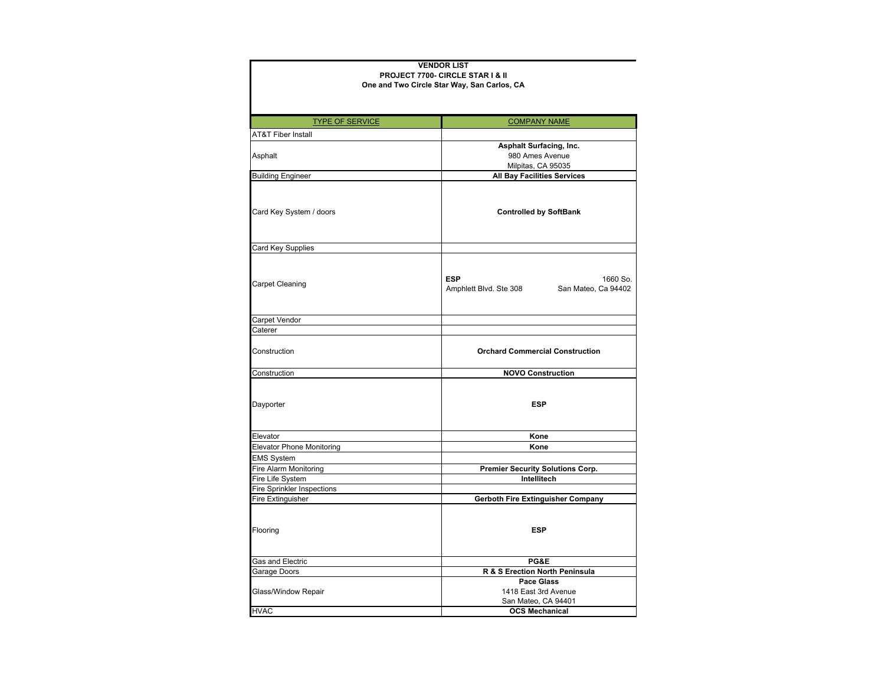## **VENDOR LISTPROJECT 7700- CIRCLE STAR I & II**

## **One and Two Circle Star Way, San Carlos, CA**

| <b>TYPE OF SERVICE</b>           | <b>COMPANY NAME</b>                                                     |
|----------------------------------|-------------------------------------------------------------------------|
| <b>AT&amp;T Fiber Install</b>    |                                                                         |
|                                  | <b>Asphalt Surfacing, Inc.</b>                                          |
| Asphalt                          | 980 Ames Avenue                                                         |
|                                  | Milpitas, CA 95035                                                      |
| <b>Building Engineer</b>         | <b>All Bay Facilities Services</b>                                      |
| Card Key System / doors          | <b>Controlled by SoftBank</b>                                           |
| Card Key Supplies                |                                                                         |
| Carpet Cleaning                  | <b>ESP</b><br>1660 So.<br>San Mateo, Ca 94402<br>Amphlett Blvd. Ste 308 |
| Carpet Vendor                    |                                                                         |
| Caterer                          |                                                                         |
| Construction                     | <b>Orchard Commercial Construction</b>                                  |
| Construction                     | <b>NOVO Construction</b>                                                |
| Dayporter                        | <b>ESP</b>                                                              |
| Elevator                         | Kone                                                                    |
| <b>Elevator Phone Monitoring</b> | Kone                                                                    |
| <b>EMS System</b>                |                                                                         |
| Fire Alarm Monitoring            | Premier Security Solutions Corp.                                        |
| Fire Life System                 | Intellitech                                                             |
| Fire Sprinkler Inspections       |                                                                         |
| Fire Extinguisher                | Gerboth Fire Extinguisher Company                                       |
| Flooring                         | <b>ESP</b>                                                              |
| Gas and Electric                 | PG&E                                                                    |
| Garage Doors                     | R & S Erection North Peninsula                                          |
|                                  | <b>Pace Glass</b>                                                       |
| Glass/Window Repair              | 1418 East 3rd Avenue                                                    |
|                                  | San Mateo, CA 94401                                                     |
| <b>HVAC</b>                      | <b>OCS Mechanical</b>                                                   |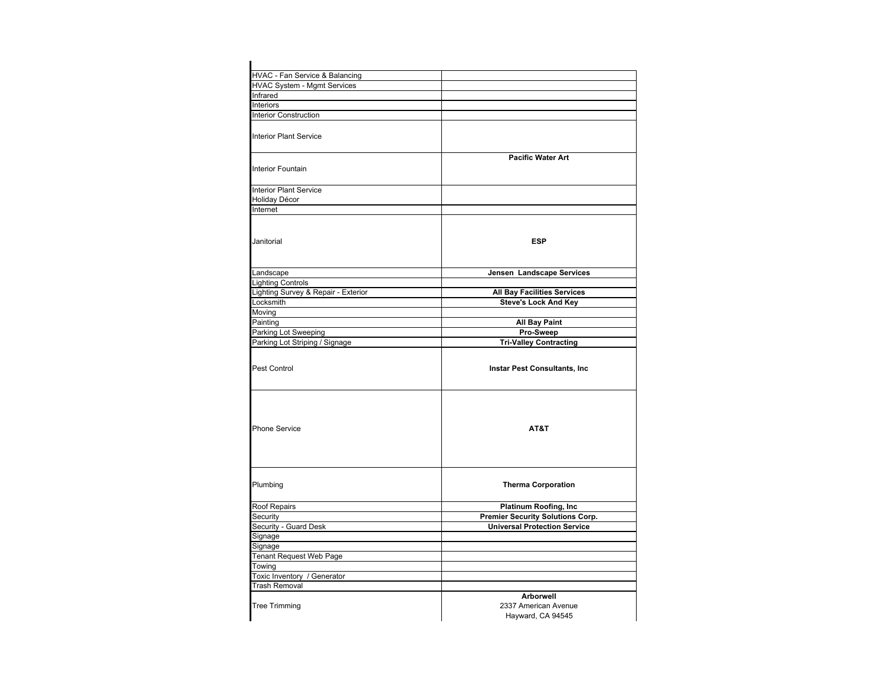| HVAC - Fan Service & Balancing      |                                                               |
|-------------------------------------|---------------------------------------------------------------|
| <b>HVAC System - Mgmt Services</b>  |                                                               |
| Infrared                            |                                                               |
| Interiors                           |                                                               |
| <b>Interior Construction</b>        |                                                               |
| <b>Interior Plant Service</b>       |                                                               |
| <b>Interior Fountain</b>            | <b>Pacific Water Art</b>                                      |
| <b>Interior Plant Service</b>       |                                                               |
| Holiday Décor                       |                                                               |
| Internet                            |                                                               |
| Janitorial                          | <b>ESP</b>                                                    |
| Landscape                           | Jensen Landscape Services                                     |
| <b>Lighting Controls</b>            |                                                               |
| Lighting Survey & Repair - Exterior | <b>All Bay Facilities Services</b>                            |
| Locksmith                           | <b>Steve's Lock And Key</b>                                   |
| Moving                              |                                                               |
| Painting                            | <b>All Bay Paint</b>                                          |
| Parking Lot Sweeping                | Pro-Sweep                                                     |
| Parking Lot Striping / Signage      | <b>Tri-Valley Contracting</b>                                 |
| Pest Control                        | <b>Instar Pest Consultants, Inc.</b>                          |
| <b>Phone Service</b>                | AT&T                                                          |
| Plumbing                            | <b>Therma Corporation</b>                                     |
| Roof Repairs                        | Platinum Roofing, Inc                                         |
| Security                            | <b>Premier Security Solutions Corp.</b>                       |
| Security - Guard Desk               | <b>Universal Protection Service</b>                           |
| Signage                             |                                                               |
| Signage                             |                                                               |
| <b>Tenant Request Web Page</b>      |                                                               |
| Towing                              |                                                               |
| Toxic Inventory / Generator         |                                                               |
| <b>Trash Removal</b>                |                                                               |
| <b>Tree Trimming</b>                | <b>Arborwell</b><br>2337 American Avenue<br>Hayward, CA 94545 |